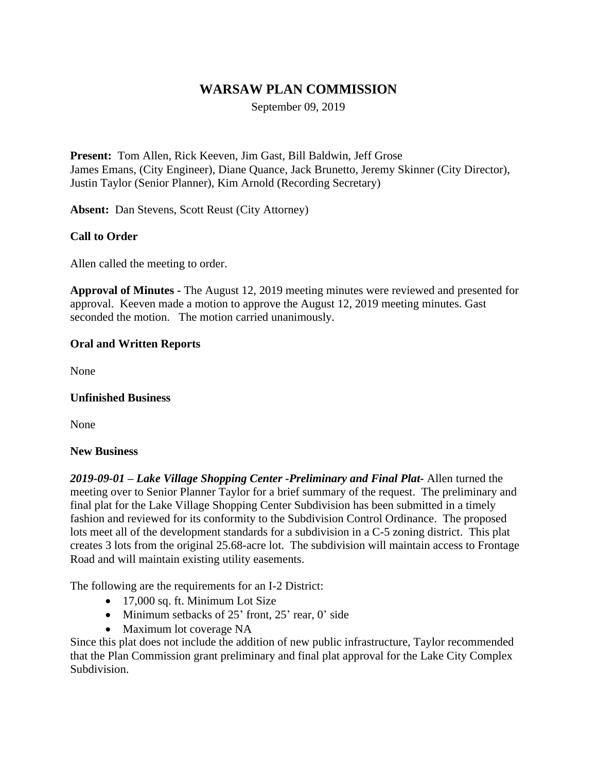# **WARSAW PLAN COMMISSION**

September 09, 2019

**Present:** Tom Allen, Rick Keeven, Jim Gast, Bill Baldwin, Jeff Grose James Emans, (City Engineer), Diane Quance, Jack Brunetto, Jeremy Skinner (City Director), Justin Taylor (Senior Planner), Kim Arnold (Recording Secretary)

**Absent:** Dan Stevens, Scott Reust (City Attorney)

## **Call to Order**

Allen called the meeting to order.

**Approval of Minutes -** The August 12, 2019 meeting minutes were reviewed and presented for approval. Keeven made a motion to approve the August 12, 2019 meeting minutes. Gast seconded the motion. The motion carried unanimously.

#### **Oral and Written Reports**

None

#### **Unfinished Business**

None

#### **New Business**

*2019-09-01 – Lake Village Shopping Center -Preliminary and Final Plat-* Allen turned the meeting over to Senior Planner Taylor for a brief summary of the request. The preliminary and final plat for the Lake Village Shopping Center Subdivision has been submitted in a timely fashion and reviewed for its conformity to the Subdivision Control Ordinance. The proposed lots meet all of the development standards for a subdivision in a C-5 zoning district. This plat creates 3 lots from the original 25.68-acre lot. The subdivision will maintain access to Frontage Road and will maintain existing utility easements.

The following are the requirements for an I-2 District:

- 17,000 sq. ft. Minimum Lot Size
- Minimum setbacks of 25' front, 25' rear, 0' side
- Maximum lot coverage NA

Since this plat does not include the addition of new public infrastructure, Taylor recommended that the Plan Commission grant preliminary and final plat approval for the Lake City Complex Subdivision.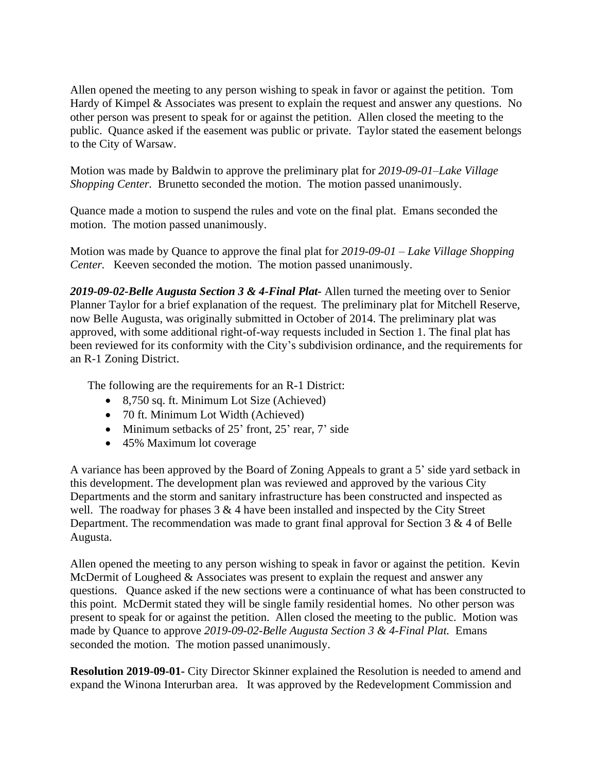Allen opened the meeting to any person wishing to speak in favor or against the petition. Tom Hardy of Kimpel & Associates was present to explain the request and answer any questions. No other person was present to speak for or against the petition. Allen closed the meeting to the public. Quance asked if the easement was public or private. Taylor stated the easement belongs to the City of Warsaw.

Motion was made by Baldwin to approve the preliminary plat for *2019-09-01–Lake Village Shopping Center.* Brunetto seconded the motion. The motion passed unanimously.

Quance made a motion to suspend the rules and vote on the final plat. Emans seconded the motion. The motion passed unanimously.

Motion was made by Quance to approve the final plat for *2019-09-01 – Lake Village Shopping Center.* Keeven seconded the motion. The motion passed unanimously.

*2019-09-02-Belle Augusta Section 3 & 4-Final Plat-* Allen turned the meeting over to Senior Planner Taylor for a brief explanation of the request.The preliminary plat for Mitchell Reserve, now Belle Augusta, was originally submitted in October of 2014. The preliminary plat was approved, with some additional right-of-way requests included in Section 1. The final plat has been reviewed for its conformity with the City's subdivision ordinance, and the requirements for an R-1 Zoning District.

The following are the requirements for an R-1 District:

- 8,750 sq. ft. Minimum Lot Size (Achieved)
- 70 ft. Minimum Lot Width (Achieved)
- Minimum setbacks of 25' front, 25' rear, 7' side
- 45% Maximum lot coverage

A variance has been approved by the Board of Zoning Appeals to grant a 5' side yard setback in this development. The development plan was reviewed and approved by the various City Departments and the storm and sanitary infrastructure has been constructed and inspected as well. The roadway for phases  $3 \& 4$  have been installed and inspected by the City Street Department. The recommendation was made to grant final approval for Section  $3 \& 4$  of Belle Augusta.

Allen opened the meeting to any person wishing to speak in favor or against the petition. Kevin McDermit of Lougheed  $&$  Associates was present to explain the request and answer any questions. Quance asked if the new sections were a continuance of what has been constructed to this point. McDermit stated they will be single family residential homes. No other person was present to speak for or against the petition. Allen closed the meeting to the public. Motion was made by Quance to approve *2019-09-02-Belle Augusta Section 3 & 4-Final Plat.* Emans seconded the motion. The motion passed unanimously.

**Resolution 2019-09-01-** City Director Skinner explained the Resolution is needed to amend and expand the Winona Interurban area. It was approved by the Redevelopment Commission and